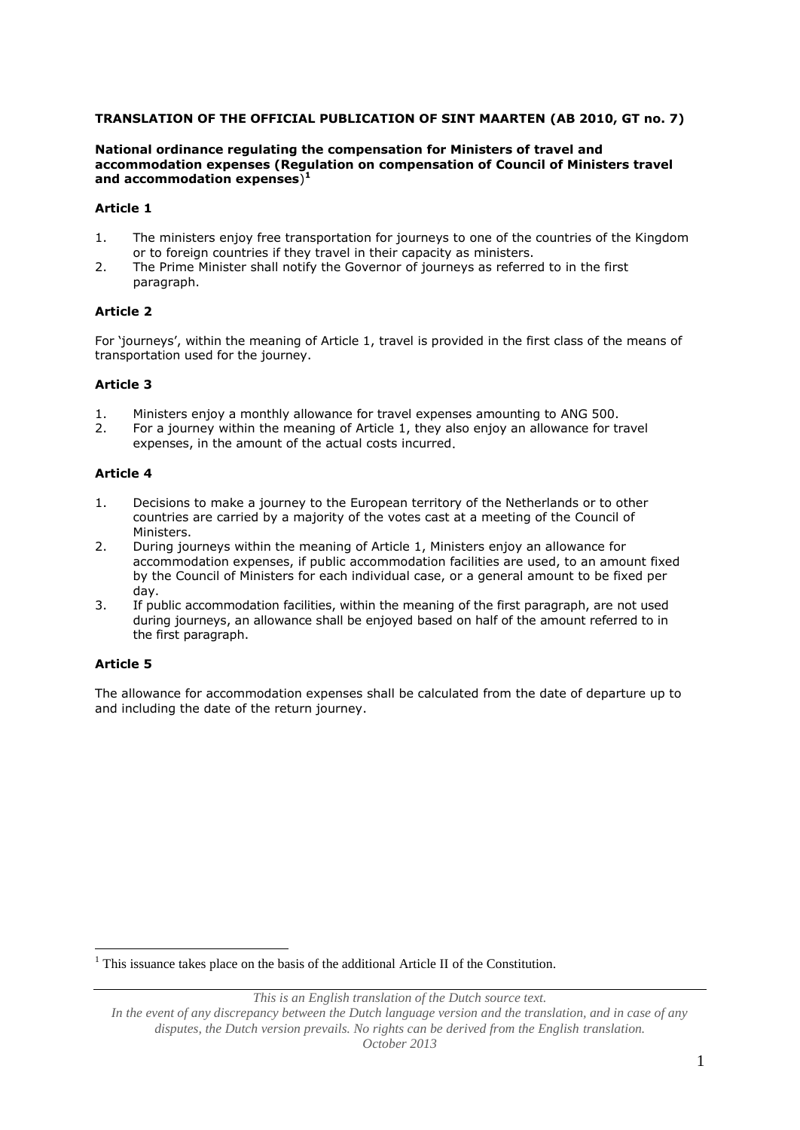## **TRANSLATION OF THE OFFICIAL PUBLICATION OF SINT MAARTEN (AB 2010, GT no. 7)**

#### **National ordinance regulating the compensation for Ministers of travel and accommodation expenses (Regulation on compensation of Council of Ministers travel and accommodation expenses**) **1**

#### **Article 1**

- 1. The ministers enjoy free transportation for journeys to one of the countries of the Kingdom or to foreign countries if they travel in their capacity as ministers.
- 2. The Prime Minister shall notify the Governor of journeys as referred to in the first paragraph.

### **Article 2**

For 'journeys', within the meaning of Article 1, travel is provided in the first class of the means of transportation used for the journey.

### **Article 3**

- 1. Ministers enjoy a monthly allowance for travel expenses amounting to ANG 500.
- 2. For a journey within the meaning of Article 1, they also enjoy an allowance for travel expenses, in the amount of the actual costs incurred.

### **Article 4**

- 1. Decisions to make a journey to the European territory of the Netherlands or to other countries are carried by a majority of the votes cast at a meeting of the Council of Ministers.
- 2. During journeys within the meaning of Article 1, Ministers enjoy an allowance for accommodation expenses, if public accommodation facilities are used, to an amount fixed by the Council of Ministers for each individual case, or a general amount to be fixed per day.
- 3. If public accommodation facilities, within the meaning of the first paragraph, are not used during journeys, an allowance shall be enjoyed based on half of the amount referred to in the first paragraph.

# **Article 5**

<u>.</u>

The allowance for accommodation expenses shall be calculated from the date of departure up to and including the date of the return journey.

 $<sup>1</sup>$  This issuance takes place on the basis of the additional Article II of the Constitution.</sup>

*This is an English translation of the Dutch source text.*

*In the event of any discrepancy between the Dutch language version and the translation, and in case of any disputes, the Dutch version prevails. No rights can be derived from the English translation. October 2013*